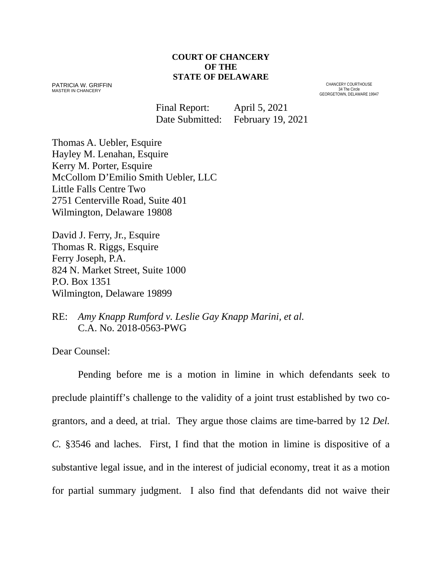#### **COURT OF CHANCERY OF THE STATE OF DELAWARE**

PATRICIA W. GRIFFIN MASTER IN CHANCERY

CHANCERY COURTHOUSE 34 The Circle GEORGETOWN, DELAWARE 19947

Final Report: April 5, 2021 Date Submitted: February 19, 2021

Thomas A. Uebler, Esquire Hayley M. Lenahan, Esquire Kerry M. Porter, Esquire McCollom D'Emilio Smith Uebler, LLC Little Falls Centre Two 2751 Centerville Road, Suite 401 Wilmington, Delaware 19808

David J. Ferry, Jr., Esquire Thomas R. Riggs, Esquire Ferry Joseph, P.A. 824 N. Market Street, Suite 1000 P.O. Box 1351 Wilmington, Delaware 19899

RE: *Amy Knapp Rumford v. Leslie Gay Knapp Marini, et al.* C.A. No. 2018-0563-PWG

Dear Counsel:

Pending before me is a motion in limine in which defendants seek to preclude plaintiff's challenge to the validity of a joint trust established by two cograntors, and a deed, at trial. They argue those claims are time-barred by 12 *Del. C.* §3546 and laches. First, I find that the motion in limine is dispositive of a substantive legal issue, and in the interest of judicial economy, treat it as a motion for partial summary judgment. I also find that defendants did not waive their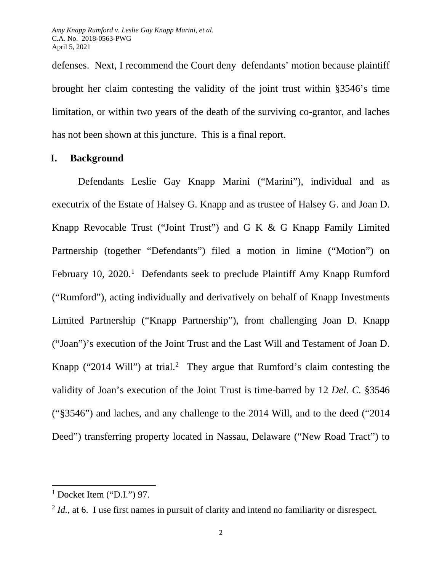defenses. Next, I recommend the Court deny defendants' motion because plaintiff brought her claim contesting the validity of the joint trust within §3546's time limitation, or within two years of the death of the surviving co-grantor, and laches has not been shown at this juncture. This is a final report.

## **I. Background**

Defendants Leslie Gay Knapp Marini ("Marini"), individual and as executrix of the Estate of Halsey G. Knapp and as trustee of Halsey G. and Joan D. Knapp Revocable Trust ("Joint Trust") and G K & G Knapp Family Limited Partnership (together "Defendants") filed a motion in limine ("Motion") on February [1](#page-1-0)0, 2020.<sup>1</sup> Defendants seek to preclude Plaintiff Amy Knapp Rumford ("Rumford"), acting individually and derivatively on behalf of Knapp Investments Limited Partnership ("Knapp Partnership"), from challenging Joan D. Knapp ("Joan")'s execution of the Joint Trust and the Last Will and Testament of Joan D. Knapp ("[2](#page-1-1)014 Will") at trial.<sup>2</sup> They argue that Rumford's claim contesting the validity of Joan's execution of the Joint Trust is time-barred by 12 *Del. C.* §3546 ("§3546") and laches, and any challenge to the 2014 Will, and to the deed ("2014 Deed") transferring property located in Nassau, Delaware ("New Road Tract") to

<span id="page-1-0"></span> $<sup>1</sup>$  Docket Item ("D.I.") 97.</sup>

<span id="page-1-1"></span> $^{2}$  *Id.*, at 6. I use first names in pursuit of clarity and intend no familiarity or disrespect.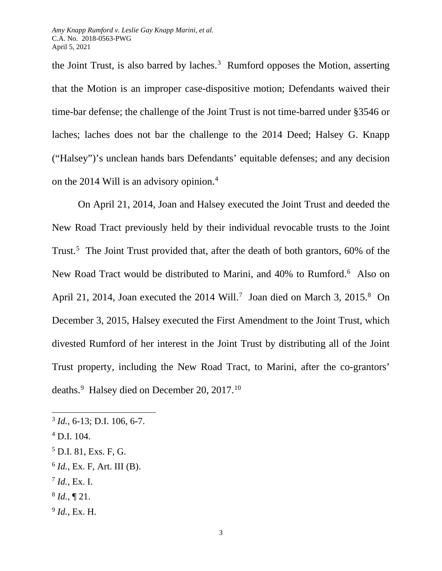the Joint Trust, is also barred by laches. $3$  Rumford opposes the Motion, asserting that the Motion is an improper case-dispositive motion; Defendants waived their time-bar defense; the challenge of the Joint Trust is not time-barred under §3546 or laches; laches does not bar the challenge to the 2014 Deed; Halsey G. Knapp ("Halsey")'s unclean hands bars Defendants' equitable defenses; and any decision on the 201[4](#page-2-1) Will is an advisory opinion.<sup>4</sup>

On April 21, 2014, Joan and Halsey executed the Joint Trust and deeded the New Road Tract previously held by their individual revocable trusts to the Joint Trust.<sup>[5](#page-2-2)</sup> The Joint Trust provided that, after the death of both grantors, 60% of the New Road Tract would be distributed to Marini, and 40% to Rumford.<sup>[6](#page-2-3)</sup> Also on April 21, 2014, Joan executed the  $2014$  Will.<sup>[7](#page-2-4)</sup> Joan died on March 3, 2015.<sup>[8](#page-2-5)</sup> On December 3, 2015, Halsey executed the First Amendment to the Joint Trust, which divested Rumford of her interest in the Joint Trust by distributing all of the Joint Trust property, including the New Road Tract, to Marini, after the co-grantors' deaths.<sup>[9](#page-2-6)</sup> Halsey died on December 20, 2017.<sup>10</sup>

- <span id="page-2-4"></span> $^{7}$  *Id.*, Ex. I.
- <span id="page-2-5"></span> $8$  *Id.*,  $\P$  21.
- <span id="page-2-6"></span><sup>9</sup> *Id.*, Ex. H.

<span id="page-2-0"></span><sup>3</sup> *Id.*, 6-13; D.I. 106, 6-7.

<span id="page-2-1"></span> $^{4}$  D.I. 104.

<span id="page-2-2"></span> $<sup>5</sup>$  D.I. 81, Exs. F, G.</sup>

<span id="page-2-3"></span> $6$  *Id.*, Ex. F, Art. III (B).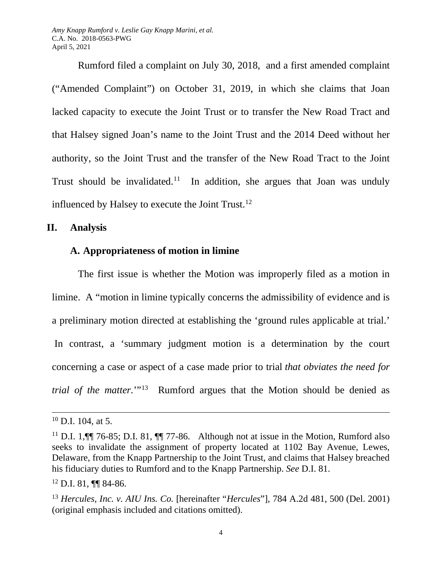*Amy Knapp Rumford v. Leslie Gay Knapp Marini, et al.* C.A. No. 2018-0563-PWG April 5, 2021

Rumford filed a complaint on July 30, 2018, and a first amended complaint ("Amended Complaint") on October 31, 2019, in which she claims that Joan lacked capacity to execute the Joint Trust or to transfer the New Road Tract and that Halsey signed Joan's name to the Joint Trust and the 2014 Deed without her authority, so the Joint Trust and the transfer of the New Road Tract to the Joint Trust should be invalidated.<sup>11</sup> In addition, she argues that Joan was unduly influenced by Halsey to execute the Joint Trust.<sup>[12](#page-3-1)</sup>

### **II. Analysis**

### **A. Appropriateness of motion in limine**

The first issue is whether the Motion was improperly filed as a motion in limine. A "motion in limine typically concerns the admissibility of evidence and is a preliminary motion directed at establishing the 'ground rules applicable at trial.' In contrast, a 'summary judgment motion is a determination by the court concerning a case or aspect of a case made prior to trial *that obviates the need for trial of the matter.*'"<sup>[13](#page-3-2)</sup> Rumford argues that the Motion should be denied as

 $10$  D.I. 104, at 5.

<span id="page-3-0"></span><sup>&</sup>lt;sup>11</sup> D.I. 1,  $\P$  76-85; D.I. 81,  $\P$  77-86. Although not at issue in the Motion, Rumford also seeks to invalidate the assignment of property located at 1102 Bay Avenue, Lewes, Delaware, from the Knapp Partnership to the Joint Trust, and claims that Halsey breached his fiduciary duties to Rumford and to the Knapp Partnership. *See* D.I. 81.

<span id="page-3-1"></span> $12$  D.I. 81, [[ 84-86.

<span id="page-3-2"></span><sup>13</sup> *Hercules, Inc. v. AIU Ins. Co.* [hereinafter "*Hercules*"]*,* 784 A.2d 481, 500 (Del. 2001) (original emphasis included and citations omitted).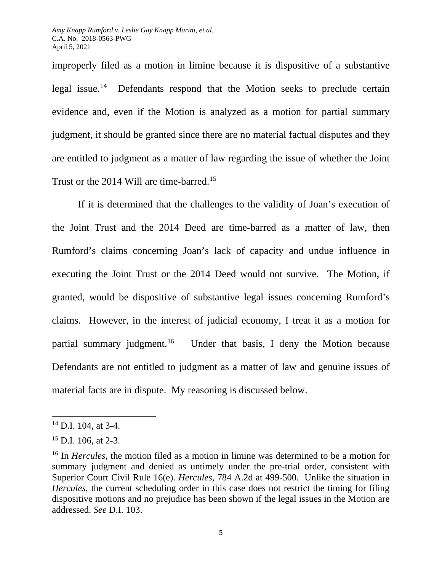improperly filed as a motion in limine because it is dispositive of a substantive legal issue.<sup>[14](#page-4-0)</sup> Defendants respond that the Motion seeks to preclude certain evidence and, even if the Motion is analyzed as a motion for partial summary judgment, it should be granted since there are no material factual disputes and they are entitled to judgment as a matter of law regarding the issue of whether the Joint Trust or the 2014 Will are time-barred.<sup>15</sup>

If it is determined that the challenges to the validity of Joan's execution of the Joint Trust and the 2014 Deed are time-barred as a matter of law, then Rumford's claims concerning Joan's lack of capacity and undue influence in executing the Joint Trust or the 2014 Deed would not survive. The Motion, if granted, would be dispositive of substantive legal issues concerning Rumford's claims. However, in the interest of judicial economy, I treat it as a motion for partial summary judgment.<sup>[16](#page-4-2)</sup> Under that basis, I deny the Motion because Defendants are not entitled to judgment as a matter of law and genuine issues of material facts are in dispute. My reasoning is discussed below.

<span id="page-4-0"></span> $14$  D.I. 104, at 3-4.

<span id="page-4-1"></span> $15$  D.I. 106, at 2-3.

<span id="page-4-2"></span><sup>16</sup> In *Hercules*, the motion filed as a motion in limine was determined to be a motion for summary judgment and denied as untimely under the pre-trial order, consistent with Superior Court Civil Rule 16(e). *Hercules,* 784 A.2d at 499-500. Unlike the situation in *Hercules*, the current scheduling order in this case does not restrict the timing for filing dispositive motions and no prejudice has been shown if the legal issues in the Motion are addressed. *See* D.I. 103.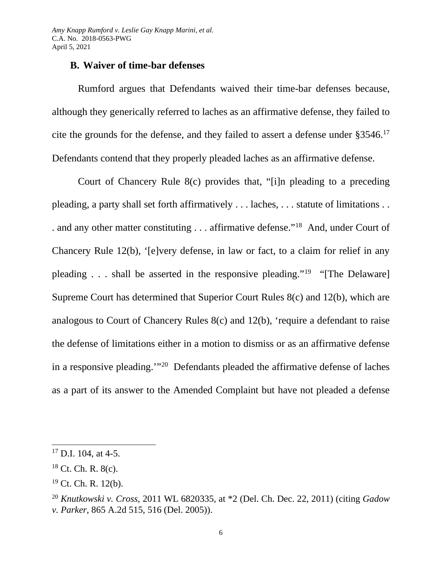# **B. Waiver of time-bar defenses**

Rumford argues that Defendants waived their time-bar defenses because, although they generically referred to laches as an affirmative defense, they failed to cite the grounds for the defense, and they failed to assert a defense under §3546.[17](#page-5-0) Defendants contend that they properly pleaded laches as an affirmative defense.

Court of Chancery Rule 8(c) provides that, "[i]n pleading to a preceding pleading, a party shall set forth affirmatively . . . laches, . . . statute of limitations . . . and any other matter constituting . . . affirmative defense.["18](#page-5-1) And, under Court of Chancery Rule 12(b), '[e]very defense, in law or fact, to a claim for relief in any pleading . . . shall be asserted in the responsive pleading."<sup>[19](#page-5-2)</sup> "[The Delaware] Supreme Court has determined that Superior Court Rules 8(c) and 12(b), which are analogous to Court of Chancery Rules 8(c) and 12(b), 'require a defendant to raise the defense of limitations either in a motion to dismiss or as an affirmative defense in a responsive pleading.'"[20](#page-5-3) Defendants pleaded the affirmative defense of laches as a part of its answer to the Amended Complaint but have not pleaded a defense

<span id="page-5-0"></span><sup>&</sup>lt;sup>17</sup> D.I. 104, at 4-5.

<span id="page-5-1"></span> $18$  Ct. Ch. R.  $8(c)$ .

<span id="page-5-2"></span> $19$  Ct. Ch. R. 12(b).

<span id="page-5-3"></span><sup>20</sup> *Knutkowski v. Cross*, 2011 WL 6820335, at \*2 (Del. Ch. Dec. 22, 2011) (citing *Gadow v. Parker*, 865 A.2d 515, 516 (Del. 2005)).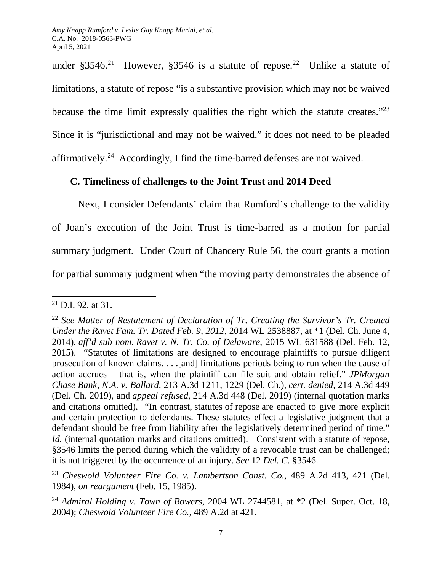under  $\S 3546$ .<sup>21</sup> However,  $\S 3546$  is a statute of repose.<sup>22</sup> Unlike a statute of limitations, a statute of repose "is a substantive provision which may not be waived because the time limit expressly qualifies the right which the statute creates."[23](#page-6-2) Since it is "jurisdictional and may not be waived," it does not need to be pleaded affirmatively.[24](#page-6-3) Accordingly, I find the time-barred defenses are not waived.

# **C. Timeliness of challenges to the Joint Trust and 2014 Deed**

Next, I consider Defendants' claim that Rumford's challenge to the validity of Joan's execution of the Joint Trust is time-barred as a motion for partial summary judgment. Under Court of Chancery Rule 56, the court grants a motion for partial summary judgment when "the moving party demonstrates the absence of

<span id="page-6-0"></span> $21$  D.I. 92, at 31.

<span id="page-6-1"></span><sup>22</sup> *See Matter of Restatement of Declaration of Tr. Creating the Survivor's Tr. Created Under the Ravet Fam. Tr. Dated Feb. 9, 2012*, 2014 WL 2538887, at \*1 (Del. Ch. June 4, 2014), *aff'd sub nom. Ravet v. N. Tr. Co. of Delaware*, 2015 WL 631588 (Del. Feb. 12, 2015). "Statutes of limitations are designed to encourage plaintiffs to pursue diligent prosecution of known claims. . . .[and] limitations periods being to run when the cause of action accrues – that is, when the plaintiff can file suit and obtain relief." *JPMorgan Chase Bank, N.A. v. Ballard*, 213 A.3d 1211, 1229 (Del. Ch.), *cert. denied,* 214 A.3d 449 (Del. Ch. 2019), and *appeal refused,* 214 A.3d 448 (Del. 2019) (internal quotation marks and citations omitted). "In contrast, statutes of repose are enacted to give more explicit and certain protection to defendants. These statutes effect a legislative judgment that a defendant should be free from liability after the legislatively determined period of time." *Id.* (internal quotation marks and citations omitted). Consistent with a statute of repose, §3546 limits the period during which the validity of a revocable trust can be challenged; it is not triggered by the occurrence of an injury. *See* 12 *Del. C.* §3546.

<span id="page-6-2"></span><sup>23</sup> *Cheswold Volunteer Fire Co. v. Lambertson Const. Co.*, 489 A.2d 413, 421 (Del. 1984), *on reargument* (Feb. 15, 1985).

<span id="page-6-3"></span><sup>24</sup> *Admiral Holding v. Town of Bowers*, 2004 WL 2744581, at \*2 (Del. Super. Oct. 18, 2004); *Cheswold Volunteer Fire Co.*, 489 A.2d at 421.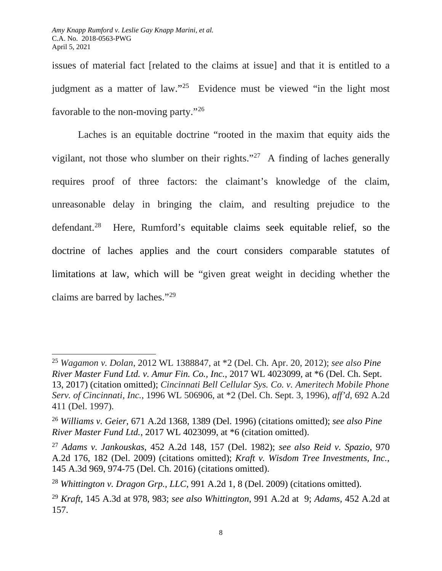issues of material fact [related to the claims at issue] and that it is entitled to a judgment as a matter of law."[25](#page-7-0) Evidence must be viewed "in the light most favorable to the non-moving party."[26](#page-7-1)

Laches is an equitable doctrine "rooted in the maxim that equity aids the vigilant, not those who slumber on their rights."[27](#page-7-2) A finding of laches generally requires proof of three factors: the claimant's knowledge of the claim, unreasonable delay in bringing the claim, and resulting prejudice to the defendant.[28](#page-7-3) Here, Rumford's equitable claims seek equitable relief, so the doctrine of laches applies and the court considers comparable statutes of limitations at law, which will be "given great weight in deciding whether the claims are barred by laches."[29](#page-7-4) 

<span id="page-7-0"></span><sup>25</sup> *Wagamon v. Dolan*, 2012 WL 1388847, at \*2 (Del. Ch. Apr. 20, 2012); *see also Pine River Master Fund Ltd. v. Amur Fin. Co., Inc.*, 2017 WL 4023099, at \*6 (Del. Ch. Sept. 13, 2017) (citation omitted); *Cincinnati Bell Cellular Sys. Co. v. Ameritech Mobile Phone Serv. of Cincinnati, Inc.*, 1996 WL 506906, at \*2 (Del. Ch. Sept. 3, 1996), *aff'd*, 692 A.2d 411 (Del. 1997).

<span id="page-7-1"></span><sup>26</sup> *Williams v. Geier*, 671 A.2d 1368, 1389 (Del. 1996) (citations omitted); *see also Pine River Master Fund Ltd.*, 2017 WL 4023099, at \*6 (citation omitted).

<span id="page-7-2"></span><sup>27</sup> *Adams v. Jankouskas*, 452 A.2d 148, 157 (Del. 1982); *see also Reid v. Spazio*, 970 A.2d 176, 182 (Del. 2009) (citations omitted); *Kraft v. Wisdom Tree Investments, Inc.*, 145 A.3d 969, 974-75 (Del. Ch. 2016) (citations omitted).

<span id="page-7-3"></span><sup>28</sup> *Whittington v. Dragon Grp., LLC*, 991 A.2d 1, 8 (Del. 2009) (citations omitted).

<span id="page-7-4"></span><sup>29</sup> *Kraft*, 145 A.3d at 978, 983; *see also Whittington*, 991 A.2d at 9; *Adams,* 452 A.2d at 157.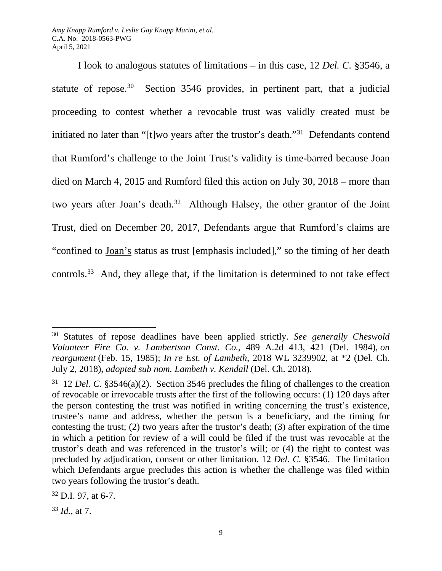*Amy Knapp Rumford v. Leslie Gay Knapp Marini, et al.* C.A. No. 2018-0563-PWG April 5, 2021

I look to analogous statutes of limitations – in this case, 12 *Del. C.* §3546, a statute of repose.<sup>[30](#page-8-0)</sup> Section 3546 provides, in pertinent part, that a judicial proceeding to contest whether a revocable trust was validly created must be initiated no later than "[t]wo years after the trustor's death."[31](#page-8-1) Defendants contend that Rumford's challenge to the Joint Trust's validity is time-barred because Joan died on March 4, 2015 and Rumford filed this action on July 30, 2018 – more than two years after Joan's death.<sup>32</sup> Although Halsey, the other grantor of the Joint Trust, died on December 20, 2017, Defendants argue that Rumford's claims are "confined to Joan's status as trust [emphasis included]," so the timing of her death controls.[33](#page-8-3) And, they allege that, if the limitation is determined to not take effect

<span id="page-8-0"></span><sup>30</sup> Statutes of repose deadlines have been applied strictly. *See generally Cheswold Volunteer Fire Co. v. Lambertson Const. Co.*, 489 A.2d 413, 421 (Del. 1984), *on reargument* (Feb. 15, 1985); *In re Est. of Lambeth*, 2018 WL 3239902, at \*2 (Del. Ch. July 2, 2018), *adopted sub nom. Lambeth v. Kendall* (Del. Ch. 2018).

<span id="page-8-1"></span><sup>31 12</sup> *Del. C.* §3546(a)(2). Section 3546 precludes the filing of challenges to the creation of revocable or irrevocable trusts after the first of the following occurs: (1) 120 days after the person contesting the trust was notified in writing concerning the trust's existence, trustee's name and address, whether the person is a beneficiary, and the timing for contesting the trust; (2) two years after the trustor's death; (3) after expiration of the time in which a petition for review of a will could be filed if the trust was revocable at the trustor's death and was referenced in the trustor's will; or (4) the right to contest was precluded by adjudication, consent or other limitation. 12 *Del. C.* §3546. The limitation which Defendants argue precludes this action is whether the challenge was filed within two years following the trustor's death.

<span id="page-8-2"></span> $32$  D.I. 97, at 6-7.

<span id="page-8-3"></span><sup>33</sup> *Id.*, at 7.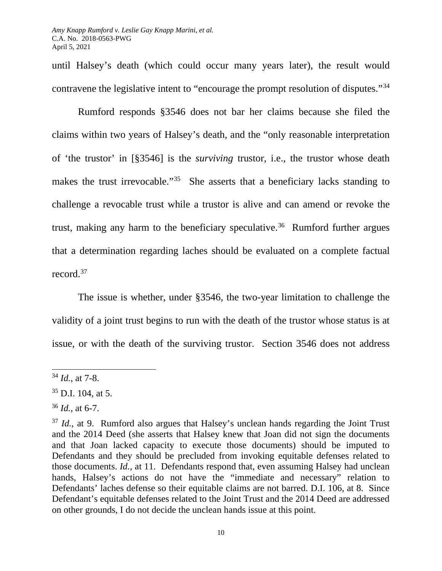until Halsey's death (which could occur many years later), the result would contravene the legislative intent to "encourage the prompt resolution of disputes."[34](#page-9-0)

Rumford responds §3546 does not bar her claims because she filed the claims within two years of Halsey's death, and the "only reasonable interpretation of 'the trustor' in [§3546] is the *surviving* trustor, i.e., the trustor whose death makes the trust irrevocable."<sup>[35](#page-9-1)</sup> She asserts that a beneficiary lacks standing to challenge a revocable trust while a trustor is alive and can amend or revoke the trust, making any harm to the beneficiary speculative.<sup>[36](#page-9-2)</sup> Rumford further argues that a determination regarding laches should be evaluated on a complete factual record.<sup>[37](#page-9-3)</sup>

The issue is whether, under §3546, the two-year limitation to challenge the validity of a joint trust begins to run with the death of the trustor whose status is at issue, or with the death of the surviving trustor. Section 3546 does not address

<span id="page-9-0"></span><sup>34</sup> *Id.*, at 7-8.

<span id="page-9-1"></span><sup>35</sup> D.I. 104, at 5.

<span id="page-9-2"></span><sup>36</sup> *Id.*, at 6-7.

<span id="page-9-3"></span><sup>&</sup>lt;sup>37</sup> *Id.*, at 9. Rumford also argues that Halsey's unclean hands regarding the Joint Trust and the 2014 Deed (she asserts that Halsey knew that Joan did not sign the documents and that Joan lacked capacity to execute those documents) should be imputed to Defendants and they should be precluded from invoking equitable defenses related to those documents. *Id.*, at 11. Defendants respond that, even assuming Halsey had unclean hands, Halsey's actions do not have the "immediate and necessary" relation to Defendants' laches defense so their equitable claims are not barred. D.I. 106, at 8. Since Defendant's equitable defenses related to the Joint Trust and the 2014 Deed are addressed on other grounds, I do not decide the unclean hands issue at this point.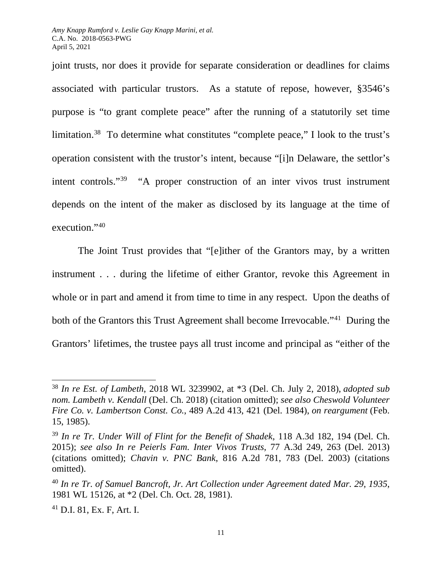joint trusts, nor does it provide for separate consideration or deadlines for claims associated with particular trustors. As a statute of repose, however, §3546's purpose is "to grant complete peace" after the running of a statutorily set time limitation[.38](#page-10-0) To determine what constitutes "complete peace," I look to the trust's operation consistent with the trustor's intent, because "[i]n Delaware, the settlor's intent controls."[39](#page-10-1) "A proper construction of an inter vivos trust instrument depends on the intent of the maker as disclosed by its language at the time of execution."40

The Joint Trust provides that "[e]ither of the Grantors may, by a written instrument . . . during the lifetime of either Grantor, revoke this Agreement in whole or in part and amend it from time to time in any respect. Upon the deaths of both of the Grantors this Trust Agreement shall become Irrevocable."<sup>41</sup> During the Grantors' lifetimes, the trustee pays all trust income and principal as "either of the

<span id="page-10-0"></span><sup>38</sup> *In re Est. of Lambeth*, 2018 WL 3239902, at \*3 (Del. Ch. July 2, 2018), *adopted sub nom. Lambeth v. Kendall* (Del. Ch. 2018) (citation omitted); *see also Cheswold Volunteer Fire Co. v. Lambertson Const. Co.*, 489 A.2d 413, 421 (Del. 1984), *on reargument* (Feb. 15, 1985).

<span id="page-10-1"></span><sup>39</sup> *In re Tr. Under Will of Flint for the Benefit of Shadek*, 118 A.3d 182, 194 (Del. Ch. 2015); *see also In re Peierls Fam. Inter Vivos Trusts*, 77 A.3d 249, 263 (Del. 2013) (citations omitted); *Chavin v. PNC Bank*, 816 A.2d 781, 783 (Del. 2003) (citations omitted).

<span id="page-10-2"></span><sup>40</sup> *In re Tr. of Samuel Bancroft, Jr. Art Collection under Agreement dated Mar. 29, 1935*, 1981 WL 15126, at \*2 (Del. Ch. Oct. 28, 1981).

<span id="page-10-3"></span><sup>41</sup> D.I. 81, Ex. F, Art. I.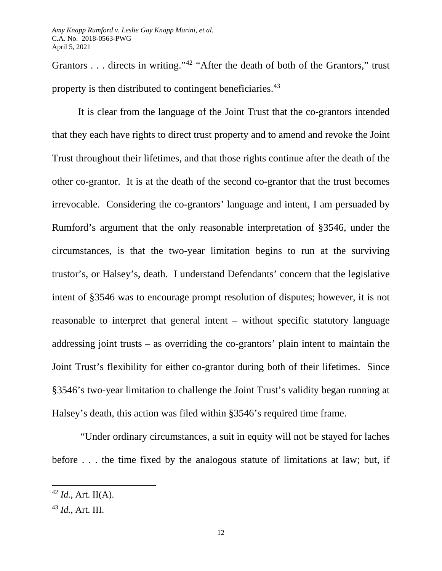Grantors . . . directs in writing."<sup>[42](#page-11-0)</sup> "After the death of both of the Grantors," trust property is then distributed to contingent beneficiaries.<sup>[43](#page-11-1)</sup>

It is clear from the language of the Joint Trust that the co-grantors intended that they each have rights to direct trust property and to amend and revoke the Joint Trust throughout their lifetimes, and that those rights continue after the death of the other co-grantor. It is at the death of the second co-grantor that the trust becomes irrevocable. Considering the co-grantors' language and intent, I am persuaded by Rumford's argument that the only reasonable interpretation of §3546, under the circumstances, is that the two-year limitation begins to run at the surviving trustor's, or Halsey's, death. I understand Defendants' concern that the legislative intent of §3546 was to encourage prompt resolution of disputes; however, it is not reasonable to interpret that general intent – without specific statutory language addressing joint trusts – as overriding the co-grantors' plain intent to maintain the Joint Trust's flexibility for either co-grantor during both of their lifetimes. Since §3546's two-year limitation to challenge the Joint Trust's validity began running at Halsey's death, this action was filed within §3546's required time frame.

"Under ordinary circumstances, a suit in equity will not be stayed for laches before . . . the time fixed by the analogous statute of limitations at law; but, if

<span id="page-11-0"></span> $42$  *Id.*, Art. II(A).

<span id="page-11-1"></span><sup>43</sup> *Id.*, Art. III.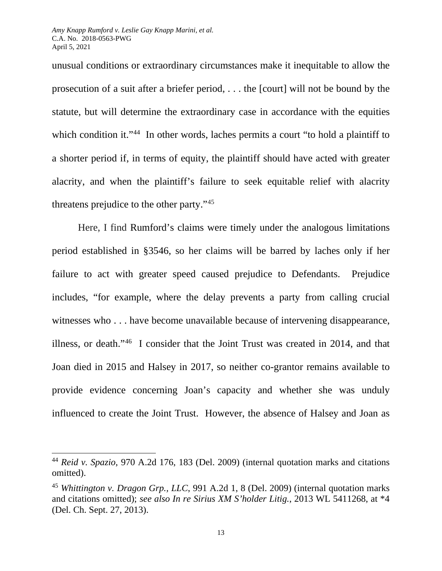unusual conditions or extraordinary circumstances make it inequitable to allow the prosecution of a suit after a briefer period, . . . the [court] will not be bound by the statute, but will determine the extraordinary case in accordance with the equities which condition it."<sup>[44](#page-12-0)</sup> In other words, laches permits a court "to hold a plaintiff to a shorter period if, in terms of equity, the plaintiff should have acted with greater alacrity, and when the plaintiff's failure to seek equitable relief with alacrity threatens prejudice to the other party."[45](#page-12-1)

Here, I find Rumford's claims were timely under the analogous limitations period established in §3546, so her claims will be barred by laches only if her failure to act with greater speed caused prejudice to Defendants. Prejudice includes, "for example, where the delay prevents a party from calling crucial witnesses who . . . have become unavailable because of intervening disappearance, illness, or death."[46](#page-12-2) I consider that the Joint Trust was created in 2014, and that Joan died in 2015 and Halsey in 2017, so neither co-grantor remains available to provide evidence concerning Joan's capacity and whether she was unduly influenced to create the Joint Trust. However, the absence of Halsey and Joan as

<span id="page-12-2"></span><span id="page-12-0"></span><sup>44</sup> *Reid v. Spazio*, 970 A.2d 176, 183 (Del. 2009) (internal quotation marks and citations omitted).

<span id="page-12-1"></span><sup>45</sup> *Whittington v. Dragon Grp., LLC*, 991 A.2d 1, 8 (Del. 2009) (internal quotation marks and citations omitted); *see also In re Sirius XM S'holder Litig.*, 2013 WL 5411268, at \*4 (Del. Ch. Sept. 27, 2013).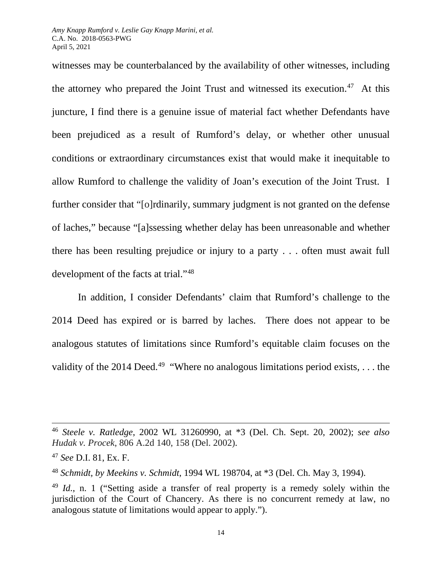witnesses may be counterbalanced by the availability of other witnesses, including the attorney who prepared the Joint Trust and witnessed its execution.<sup>[47](#page-13-0)</sup> At this juncture, I find there is a genuine issue of material fact whether Defendants have been prejudiced as a result of Rumford's delay, or whether other unusual conditions or extraordinary circumstances exist that would make it inequitable to allow Rumford to challenge the validity of Joan's execution of the Joint Trust. I further consider that "[o]rdinarily, summary judgment is not granted on the defense of laches," because "[a]ssessing whether delay has been unreasonable and whether there has been resulting prejudice or injury to a party . . . often must await full development of the facts at trial."[48](#page-13-1)

In addition, I consider Defendants' claim that Rumford's challenge to the 2014 Deed has expired or is barred by laches. There does not appear to be analogous statutes of limitations since Rumford's equitable claim focuses on the validity of the 2014 Deed.<sup>[49](#page-13-2)</sup> "Where no analogous limitations period exists, ... the

<sup>46</sup> *Steele v. Ratledge*, 2002 WL 31260990, at \*3 (Del. Ch. Sept. 20, 2002); *see also Hudak v. Procek*, 806 A.2d 140, 158 (Del. 2002).

<span id="page-13-0"></span><sup>47</sup> *See* D.I. 81, Ex. F.

<span id="page-13-1"></span><sup>48</sup> *Schmidt, by Meekins v. Schmidt*, 1994 WL 198704, at \*3 (Del. Ch. May 3, 1994).

<span id="page-13-2"></span><sup>49</sup> *Id.*, n. 1 ("Setting aside a transfer of real property is a remedy solely within the jurisdiction of the Court of Chancery. As there is no concurrent remedy at law, no analogous statute of limitations would appear to apply.").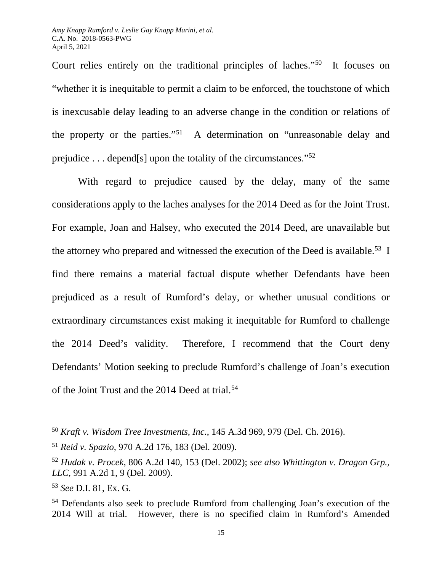Court relies entirely on the traditional principles of laches."[50](#page-14-0) It focuses on "whether it is inequitable to permit a claim to be enforced, the touchstone of which is inexcusable delay leading to an adverse change in the condition or relations of the property or the parties."[51](#page-14-1) A determination on "unreasonable delay and prejudice . . . depend[s] upon the totality of the circumstances."[52](#page-14-2)

With regard to prejudice caused by the delay, many of the same considerations apply to the laches analyses for the 2014 Deed as for the Joint Trust. For example, Joan and Halsey, who executed the 2014 Deed, are unavailable but the attorney who prepared and witnessed the execution of the Deed is available.<sup>[53](#page-14-3)</sup> I find there remains a material factual dispute whether Defendants have been prejudiced as a result of Rumford's delay, or whether unusual conditions or extraordinary circumstances exist making it inequitable for Rumford to challenge the 2014 Deed's validity. Therefore, I recommend that the Court deny Defendants' Motion seeking to preclude Rumford's challenge of Joan's execution of the Joint Trust and the 2014 Deed at trial.<sup>[54](#page-14-4)</sup>

<span id="page-14-0"></span><sup>50</sup> *Kraft v. Wisdom Tree Investments, Inc.*, 145 A.3d 969, 979 (Del. Ch. 2016).

<span id="page-14-1"></span><sup>51</sup> *Reid v. Spazio,* 970 A.2d 176, 183 (Del. 2009).

<span id="page-14-2"></span><sup>52</sup> *Hudak v. Procek*, 806 A.2d 140, 153 (Del. 2002); *see also Whittington v. Dragon Grp., LLC*, 991 A.2d 1, 9 (Del. 2009).

<span id="page-14-3"></span><sup>53</sup> *See* D.I. 81, Ex. G.

<span id="page-14-4"></span><sup>54</sup> Defendants also seek to preclude Rumford from challenging Joan's execution of the 2014 Will at trial. However, there is no specified claim in Rumford's Amended